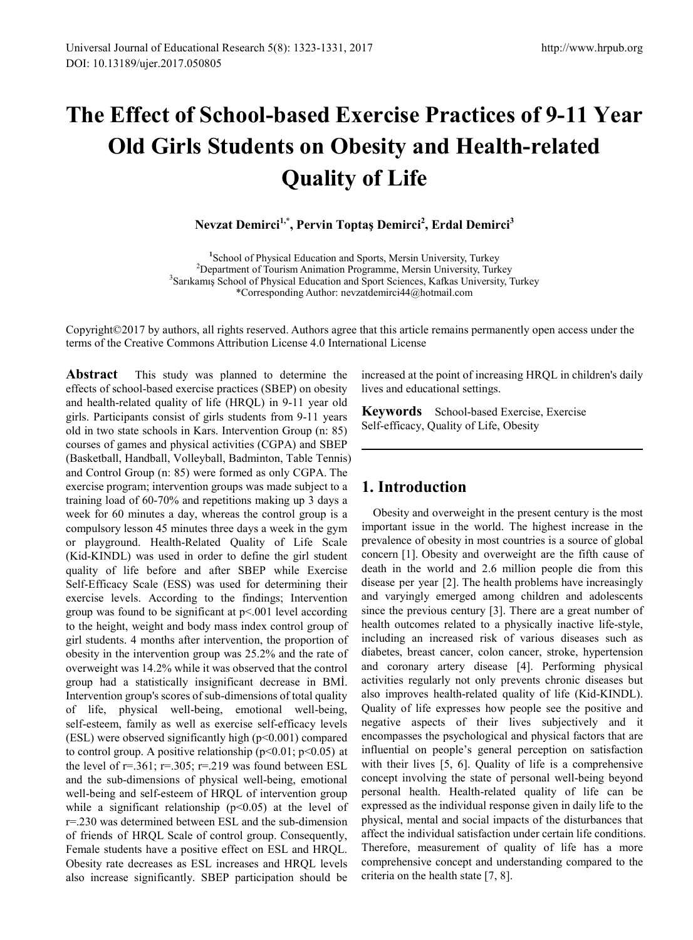# **The Effect of School-based Exercise Practices of 9-11 Year Old Girls Students on Obesity and Health-related Quality of Life**

**Nevzat Demirci1,\*, Pervin Toptaş Demirci<sup>2</sup> , Erdal Demirci<sup>3</sup>**

<sup>1</sup>School of Physical Education and Sports, Mersin University, Turkey<sup>2</sup> Department of Tourism Animation Programme, Margin University, Turkey <sup>2</sup>Department of Tourism Animation Programme, Mersin University, Turkey <sup>3</sup>Sarıkamış School of Physical Education and Sport Sciences, Kafkas University, Turkey \*Corresponding Author: nevzatdemirci44@hotmail.com

Copyright©2017 by authors, all rights reserved. Authors agree that this article remains permanently open access under the terms of the Creative Commons Attribution License 4.0 International License

**Abstract** This study was planned to determine the effects of school-based exercise practices (SBEP) on obesity and health-related quality of life (HRQL) in 9-11 year old girls. Participants consist of girls students from 9-11 years old in two state schools in Kars. Intervention Group (n: 85) courses of games and physical activities (CGPA) and SBEP (Basketball, Handball, Volleyball, Badminton, Table Tennis) and Control Group (n: 85) were formed as only CGPA. The exercise program; intervention groups was made subject to a training load of 60-70% and repetitions making up 3 days a week for 60 minutes a day, whereas the control group is a compulsory lesson 45 minutes three days a week in the gym or playground. Health-Related Quality of Life Scale (Kid-KINDL) was used in order to define the girl student quality of life before and after SBEP while Exercise Self-Efficacy Scale (ESS) was used for determining their exercise levels. According to the findings; Intervention group was found to be significant at  $p<001$  level according to the height, weight and body mass index control group of girl students. 4 months after intervention, the proportion of obesity in the intervention group was 25.2% and the rate of overweight was 14.2% while it was observed that the control group had a statistically insignificant decrease in BMİ. Intervention group's scores of sub-dimensions of total quality of life, physical well-being, emotional well-being, self-esteem, family as well as exercise self-efficacy levels (ESL) were observed significantly high (p<0.001) compared to control group. A positive relationship ( $p<0.01$ ;  $p<0.05$ ) at the level of  $r=.361; r=.305; r=.219$  was found between ESL and the sub-dimensions of physical well-being, emotional well-being and self-esteem of HRQL of intervention group while a significant relationship ( $p<0.05$ ) at the level of r=.230 was determined between ESL and the sub-dimension of friends of HRQL Scale of control group. Consequently, Female students have a positive effect on ESL and HRQL. Obesity rate decreases as ESL increases and HRQL levels also increase significantly. SBEP participation should be

increased at the point of increasing HRQL in children's daily lives and educational settings.

**Keywords** School-based Exercise, Exercise Self-efficacy, Quality of Life, Obesity

# **1. Introduction**

Obesity and overweight in the present century is the most important issue in the world. The highest increase in the prevalence of obesity in most countries is a source of global concern [1]. Obesity and overweight are the fifth cause of death in the world and 2.6 million people die from this disease per year [2]. The health problems have increasingly and varyingly emerged among children and adolescents since the previous century [3]. There are a great number of health outcomes related to a physically inactive life-style, including an increased risk of various diseases such as diabetes, breast cancer, colon cancer, stroke, hypertension and coronary artery disease [4]. Performing physical activities regularly not only prevents chronic diseases but also improves health-related quality of life (Kid-KINDL). Quality of life expresses how people see the positive and negative aspects of their lives subjectively and it encompasses the psychological and physical factors that are influential on people's general perception on satisfaction with their lives [5, 6]. Quality of life is a comprehensive concept involving the state of personal well-being beyond personal health. Health-related quality of life can be expressed as the individual response given in daily life to the physical, mental and social impacts of the disturbances that affect the individual satisfaction under certain life conditions. Therefore, measurement of quality of life has a more comprehensive concept and understanding compared to the criteria on the health state [7, 8].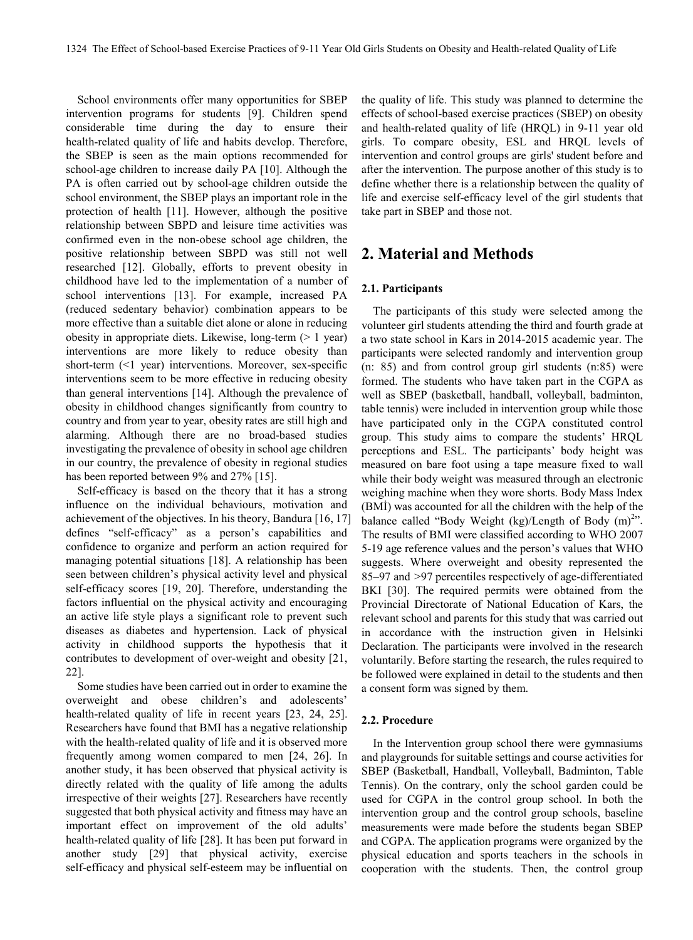School environments offer many opportunities for SBEP intervention programs for students [9]. Children spend considerable time during the day to ensure their health-related quality of life and habits develop. Therefore, the SBEP is seen as the main options recommended for school-age children to increase daily PA [10]. Although the PA is often carried out by school-age children outside the school environment, the SBEP plays an important role in the protection of health [11]. However, although the positive relationship between SBPD and leisure time activities was confirmed even in the non-obese school age children, the positive relationship between SBPD was still not well researched [12]. Globally, efforts to prevent obesity in childhood have led to the implementation of a number of school interventions [13]. For example, increased PA (reduced sedentary behavior) combination appears to be more effective than a suitable diet alone or alone in reducing obesity in appropriate diets. Likewise, long-term  $(> 1 \text{ year})$ interventions are more likely to reduce obesity than short-term (<1 year) interventions. Moreover, sex-specific interventions seem to be more effective in reducing obesity than general interventions [14]. Although the prevalence of obesity in childhood changes significantly from country to country and from year to year, obesity rates are still high and alarming. Although there are no broad-based studies investigating the prevalence of obesity in school age children in our country, the prevalence of obesity in regional studies has been reported between 9% and 27% [15].

Self-efficacy is based on the theory that it has a strong influence on the individual behaviours, motivation and achievement of the objectives. In his theory, Bandura [16, 17] defines "self-efficacy" as a person's capabilities and confidence to organize and perform an action required for managing potential situations [18]. A relationship has been seen between children's physical activity level and physical self-efficacy scores [19, 20]. Therefore, understanding the factors influential on the physical activity and encouraging an active life style plays a significant role to prevent such diseases as diabetes and hypertension. Lack of physical activity in childhood supports the hypothesis that it contributes to development of over-weight and obesity [21, 22].

Some studies have been carried out in order to examine the overweight and obese children's and adolescents' health-related quality of life in recent years [23, 24, 25]. Researchers have found that BMI has a negative relationship with the health-related quality of life and it is observed more frequently among women compared to men [24, 26]. In another study, it has been observed that physical activity is directly related with the quality of life among the adults irrespective of their weights [27]. Researchers have recently suggested that both physical activity and fitness may have an important effect on improvement of the old adults' health-related quality of life [28]. It has been put forward in another study [29] that physical activity, exercise self-efficacy and physical self-esteem may be influential on

the quality of life. This study was planned to determine the effects of school-based exercise practices (SBEP) on obesity and health-related quality of life (HRQL) in 9-11 year old girls. To compare obesity, ESL and HRQL levels of intervention and control groups are girls' student before and after the intervention. The purpose another of this study is to define whether there is a relationship between the quality of life and exercise self-efficacy level of the girl students that take part in SBEP and those not.

## **2. Material and Methods**

## **2.1. Participants**

The participants of this study were selected among the volunteer girl students attending the third and fourth grade at a two state school in Kars in 2014-2015 academic year. The participants were selected randomly and intervention group (n: 85) and from control group girl students (n:85) were formed. The students who have taken part in the CGPA as well as SBEP (basketball, handball, volleyball, badminton, table tennis) were included in intervention group while those have participated only in the CGPA constituted control group. This study aims to compare the students' HRQL perceptions and ESL. The participants' body height was measured on bare foot using a tape measure fixed to wall while their body weight was measured through an electronic weighing machine when they wore shorts. Body Mass Index (BMİ) was accounted for all the children with the help of the balance called "Body Weight (kg)/Length of Body  $(m)^{2}$ ". The results of BMI were classified according to WHO 2007 5-19 age reference values and the person's values that WHO suggests. Where overweight and obesity represented the 85–97 and >97 percentiles respectively of age-differentiated BKI [30]. The required permits were obtained from the Provincial Directorate of National Education of Kars, the relevant school and parents for this study that was carried out in accordance with the instruction given in Helsinki Declaration. The participants were involved in the research voluntarily. Before starting the research, the rules required to be followed were explained in detail to the students and then a consent form was signed by them.

#### **2.2. Procedure**

In the Intervention group school there were gymnasiums and playgrounds for suitable settings and course activities for SBEP (Basketball, Handball, Volleyball, Badminton, Table Tennis). On the contrary, only the school garden could be used for CGPA in the control group school. In both the intervention group and the control group schools, baseline measurements were made before the students began SBEP and CGPA. The application programs were organized by the physical education and sports teachers in the schools in cooperation with the students. Then, the control group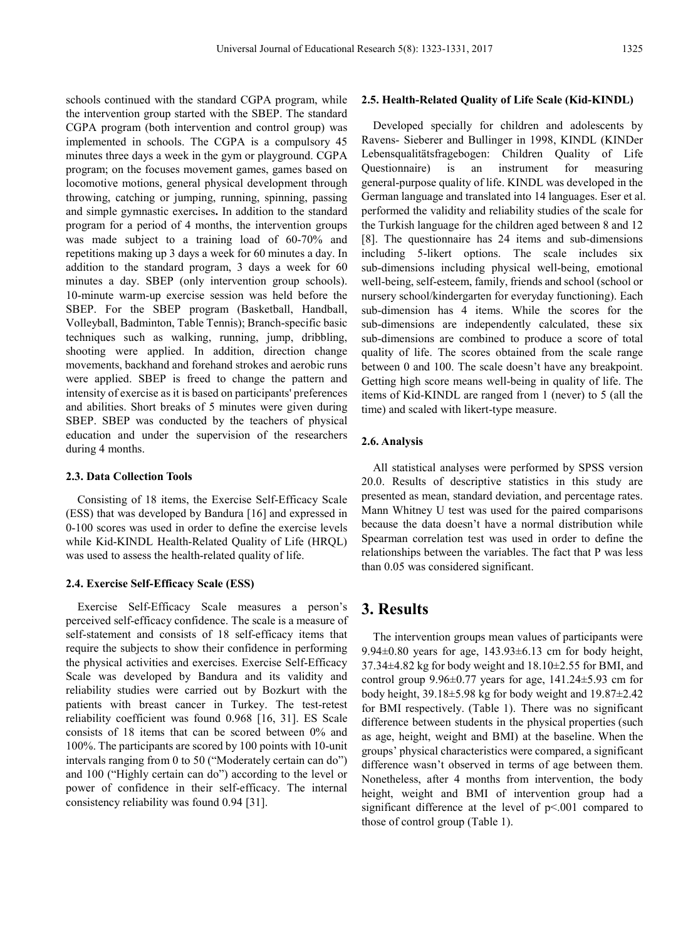schools continued with the standard CGPA program, while the intervention group started with the SBEP. The standard CGPA program (both intervention and control group) was implemented in schools. The CGPA is a compulsory 45 minutes three days a week in the gym or playground. CGPA program; on the focuses movement games, games based on locomotive motions, general physical development through throwing, catching or jumping, running, spinning, passing and simple gymnastic exercises**.** In addition to the standard program for a period of 4 months, the intervention groups was made subject to a training load of 60-70% and repetitions making up 3 days a week for 60 minutes a day. In addition to the standard program, 3 days a week for 60 minutes a day. SBEP (only intervention group schools). 10-minute warm-up exercise session was held before the SBEP. For the SBEP program (Basketball, Handball, Volleyball, Badminton, Table Tennis); Branch-specific basic techniques such as walking, running, jump, dribbling, shooting were applied. In addition, direction change movements, backhand and forehand strokes and aerobic runs were applied. SBEP is freed to change the pattern and intensity of exercise as it is based on participants' preferences and abilities. Short breaks of 5 minutes were given during SBEP. SBEP was conducted by the teachers of physical education and under the supervision of the researchers during 4 months.

## **2.3. Data Collection Tools**

Consisting of 18 items, the Exercise Self-Efficacy Scale (ESS) that was developed by Bandura [16] and expressed in 0-100 scores was used in order to define the exercise levels while Kid-KINDL Health-Related Quality of Life (HRQL) was used to assess the health-related quality of life.

#### **2.4. Exercise Self-Efficacy Scale (ESS)**

Exercise Self-Efficacy Scale measures a person's perceived self-efficacy confidence. The scale is a measure of self-statement and consists of 18 self-efficacy items that require the subjects to show their confidence in performing the physical activities and exercises. Exercise Self-Efficacy Scale was developed by Bandura and its validity and reliability studies were carried out by Bozkurt with the patients with breast cancer in Turkey. The test-retest reliability coefficient was found 0.968 [16, 31]. ES Scale consists of 18 items that can be scored between 0% and 100%. The participants are scored by 100 points with 10-unit intervals ranging from 0 to 50 ("Moderately certain can do") and 100 ("Highly certain can do") according to the level or power of confidence in their self-efficacy. The internal consistency reliability was found 0.94 [31].

#### **2.5. Health-Related Quality of Life Scale (Kid-KINDL)**

Developed specially for children and adolescents by Ravens- Sieberer and Bullinger in 1998, KINDL (KINDer Lebensqualitätsfragebogen: Children Quality of Life Questionnaire) is an instrument for measuring general-purpose quality of life. KINDL was developed in the German language and translated into 14 languages. Eser et al. performed the validity and reliability studies of the scale for the Turkish language for the children aged between 8 and 12 [8]. The questionnaire has 24 items and sub-dimensions including 5-likert options. The scale includes six sub-dimensions including physical well-being, emotional well-being, self-esteem, family, friends and school (school or nursery school/kindergarten for everyday functioning). Each sub-dimension has 4 items. While the scores for the sub-dimensions are independently calculated, these six sub-dimensions are combined to produce a score of total quality of life. The scores obtained from the scale range between 0 and 100. The scale doesn't have any breakpoint. Getting high score means well-being in quality of life. The items of Kid-KINDL are ranged from 1 (never) to 5 (all the time) and scaled with likert-type measure.

#### **2.6. Analysis**

All statistical analyses were performed by SPSS version 20.0. Results of descriptive statistics in this study are presented as mean, standard deviation, and percentage rates. Mann Whitney U test was used for the paired comparisons because the data doesn't have a normal distribution while Spearman correlation test was used in order to define the relationships between the variables. The fact that P was less than 0.05 was considered significant.

## **3. Results**

The intervention groups mean values of participants were 9.94 $\pm$ 0.80 years for age, 143.93 $\pm$ 6.13 cm for body height, 37.34±4.82 kg for body weight and 18.10±2.55 for BMI, and control group  $9.96\pm0.77$  years for age,  $141.24\pm5.93$  cm for body height, 39.18±5.98 kg for body weight and 19.87±2.42 for BMI respectively. (Table 1). There was no significant difference between students in the physical properties (such as age, height, weight and BMI) at the baseline. When the groups' physical characteristics were compared, a significant difference wasn't observed in terms of age between them. Nonetheless, after 4 months from intervention, the body height, weight and BMI of intervention group had a significant difference at the level of p<.001 compared to those of control group (Table 1).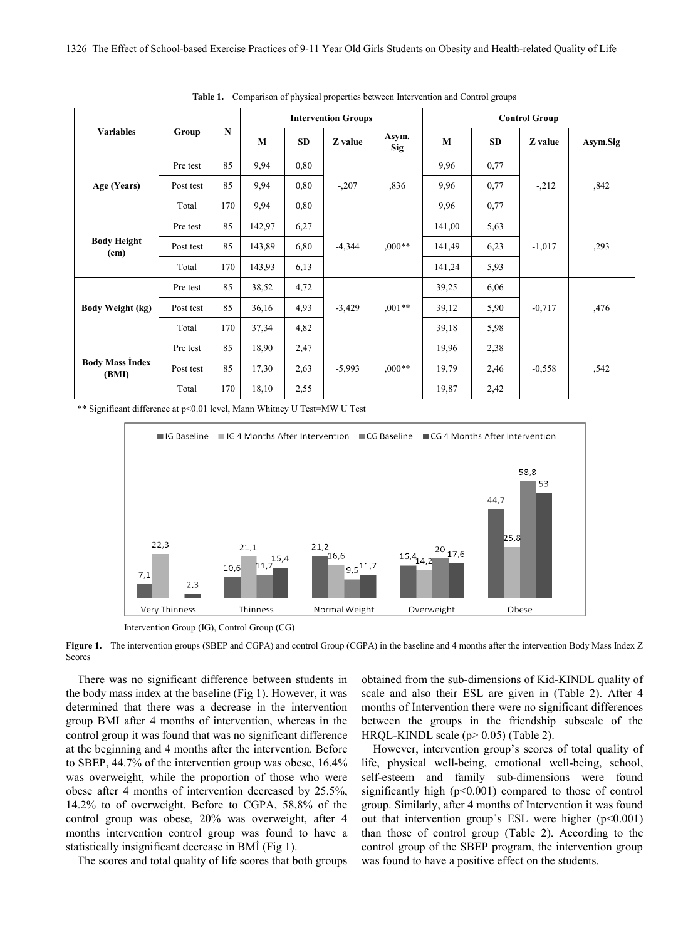| <b>Variables</b>                | Group     | $\mathbf N$ | <b>Intervention Groups</b> |           |          |                     | <b>Control Group</b> |           |          |          |
|---------------------------------|-----------|-------------|----------------------------|-----------|----------|---------------------|----------------------|-----------|----------|----------|
|                                 |           |             | M                          | <b>SD</b> | Z value  | Asym.<br><b>Sig</b> | M                    | <b>SD</b> | Z value  | Asym.Sig |
| Age (Years)                     | Pre test  | 85          | 9,94                       | 0,80      | $-.207$  | ,836                | 9,96                 | 0,77      | $-212$   | ,842     |
|                                 | Post test | 85          | 9,94                       | 0,80      |          |                     | 9,96                 | 0,77      |          |          |
|                                 | Total     | 170         | 9,94                       | 0,80      |          |                     | 9,96                 | 0,77      |          |          |
| <b>Body Height</b><br>(cm)      | Pre test  | 85          | 142,97                     | 6,27      | $-4,344$ | $0.00**$            | 141,00               | 5,63      | $-1,017$ | ,293     |
|                                 | Post test | 85          | 143,89                     | 6,80      |          |                     | 141,49               | 6,23      |          |          |
|                                 | Total     | 170         | 143,93                     | 6,13      |          |                     | 141,24               | 5,93      |          |          |
| Body Weight (kg)                | Pre test  | 85          | 38,52                      | 4,72      | $-3,429$ | $0.01**$            | 39,25                | 6,06      | $-0.717$ | ,476     |
|                                 | Post test | 85          | 36,16                      | 4,93      |          |                     | 39,12                | 5,90      |          |          |
|                                 | Total     | 170         | 37,34                      | 4,82      |          |                     | 39,18                | 5,98      |          |          |
| <b>Body Mass Index</b><br>(BMI) | Pre test  | 85          | 18,90                      | 2,47      | $-5,993$ | $,000**$            | 19,96                | 2,38      | $-0,558$ | ,542     |
|                                 | Post test | 85          | 17,30                      | 2,63      |          |                     | 19,79                | 2,46      |          |          |
|                                 | Total     | 170         | 18,10                      | 2,55      |          |                     | 19,87                | 2,42      |          |          |

**Table 1.** Comparison of physical properties between Intervention and Control groups

\*\* Significant difference at p<0.01 level, Mann Whitney U Test=MW U Test



Intervention Group (IG), Control Group (CG)

**Figure 1.** The intervention groups (SBEP and CGPA) and control Group (CGPA) in the baseline and 4 months after the intervention Body Mass Index Z Scores

There was no significant difference between students in the body mass index at the baseline (Fig 1). However, it was determined that there was a decrease in the intervention group BMI after 4 months of intervention, whereas in the control group it was found that was no significant difference at the beginning and 4 months after the intervention. Before to SBEP, 44.7% of the intervention group was obese, 16.4% was overweight, while the proportion of those who were obese after 4 months of intervention decreased by 25.5%, 14.2% to of overweight. Before to CGPA, 58,8% of the control group was obese, 20% was overweight, after 4 months intervention control group was found to have a statistically insignificant decrease in BMİ (Fig 1).

The scores and total quality of life scores that both groups

obtained from the sub-dimensions of Kid-KINDL quality of scale and also their ESL are given in (Table 2). After 4 months of Intervention there were no significant differences between the groups in the friendship subscale of the HRQL-KINDL scale  $(p>0.05)$  (Table 2).

However, intervention group's scores of total quality of life, physical well-being, emotional well-being, school, self-esteem and family sub-dimensions were found significantly high (p<0.001) compared to those of control group. Similarly, after 4 months of Intervention it was found out that intervention group's ESL were higher  $(p<0.001)$ than those of control group (Table 2). According to the control group of the SBEP program, the intervention group was found to have a positive effect on the students.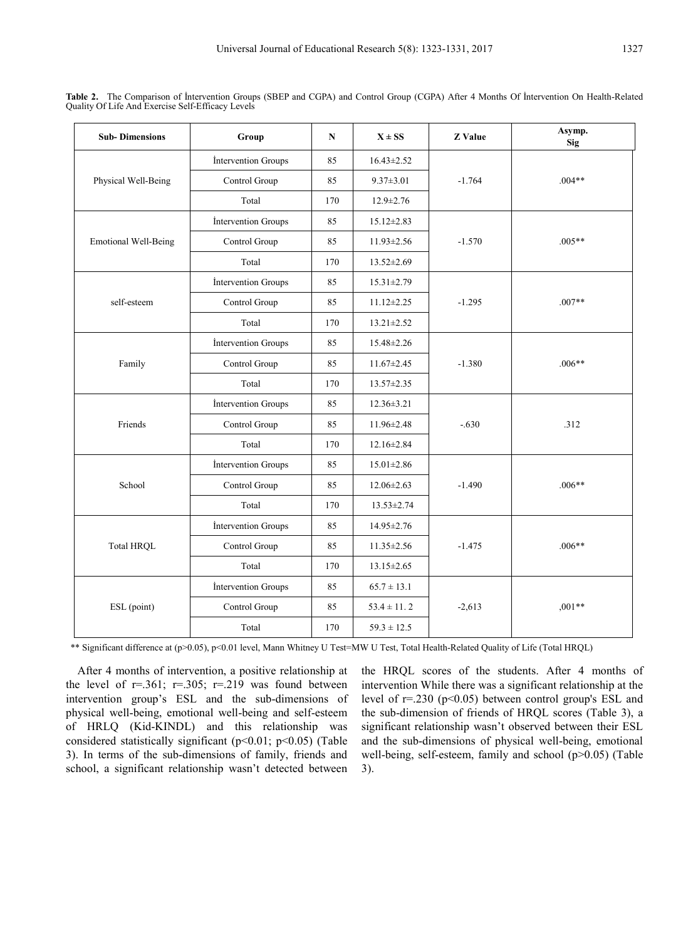| <b>Sub-Dimensions</b>       | Group               | $\mathbf N$ | $X \pm SS$       | <b>Z</b> Value | Asymp.<br><b>Sig</b> |  |
|-----------------------------|---------------------|-------------|------------------|----------------|----------------------|--|
|                             | Intervention Groups | 85          | $16.43 \pm 2.52$ | $-1.764$       | $.004**$             |  |
| Physical Well-Being         | Control Group       | 85          | $9.37 \pm 3.01$  |                |                      |  |
|                             | Total               | 170         | $12.9 \pm 2.76$  |                |                      |  |
|                             | Intervention Groups | 85          | $15.12 \pm 2.83$ | $-1.570$       | $.005**$             |  |
| <b>Emotional Well-Being</b> | Control Group       | 85          | 11.93±2.56       |                |                      |  |
|                             | Total               | 170         | 13.52±2.69       |                |                      |  |
|                             | Intervention Groups | 85          | $15.31 \pm 2.79$ | $-1.295$       | $.007**$             |  |
| self-esteem                 | Control Group       | 85          | $11.12 \pm 2.25$ |                |                      |  |
|                             | Total               | 170         | $13.21 \pm 2.52$ |                |                      |  |
| Family                      | Intervention Groups | 85          | 15.48±2.26       |                | $.006**$             |  |
|                             | Control Group       | 85          | $11.67 \pm 2.45$ | $-1.380$       |                      |  |
|                             | Total               | 170         | 13.57±2.35       |                |                      |  |
|                             | Intervention Groups | 85          | $12.36 \pm 3.21$ | $-.630$        | .312                 |  |
| Friends                     | Control Group       | 85          | 11.96±2.48       |                |                      |  |
|                             | Total               | 170         | 12.16±2.84       |                |                      |  |
|                             | Intervention Groups | 85          | $15.01 \pm 2.86$ | $-1.490$       | $.006**$             |  |
| School                      | Control Group       | 85          | $12.06 \pm 2.63$ |                |                      |  |
|                             | Total               | 170         | $13.53 \pm 2.74$ |                |                      |  |
|                             | Intervention Groups | 85          | 14.95±2.76       | $-1.475$       | $.006**$             |  |
| <b>Total HRQL</b>           | Control Group       | 85          | 11.35±2.56       |                |                      |  |
|                             | Total               | 170         | $13.15 \pm 2.65$ |                |                      |  |
|                             | Intervention Groups | 85          | $65.7 \pm 13.1$  | $-2,613$       | $,001**$             |  |
| ESL (point)                 | Control Group       | 85          | $53.4 \pm 11.2$  |                |                      |  |
|                             | Total               | 170         | $59.3 \pm 12.5$  |                |                      |  |

**Table 2.** The Comparison of İntervention Groups (SBEP and CGPA) and Control Group (CGPA) After 4 Months Of İntervention On Health-Related Quality Of Life And Exercise Self-Efficacy Levels

\*\* Significant difference at (p>0.05), p<0.01 level, Mann Whitney U Test=MW U Test, Total Health-Related Quality of Life (Total HRQL)

After 4 months of intervention, a positive relationship at the level of  $r=.361; r=.305; r=.219$  was found between intervention group's ESL and the sub-dimensions of physical well-being, emotional well-being and self-esteem of HRLQ (Kid-KINDL) and this relationship was considered statistically significant (p<0.01; p<0.05) (Table 3). In terms of the sub-dimensions of family, friends and school, a significant relationship wasn't detected between the HRQL scores of the students. After 4 months of intervention While there was a significant relationship at the level of r=.230 (p<0.05) between control group's ESL and the sub-dimension of friends of HRQL scores (Table 3), a significant relationship wasn't observed between their ESL and the sub-dimensions of physical well-being, emotional well-being, self-esteem, family and school (p>0.05) (Table 3).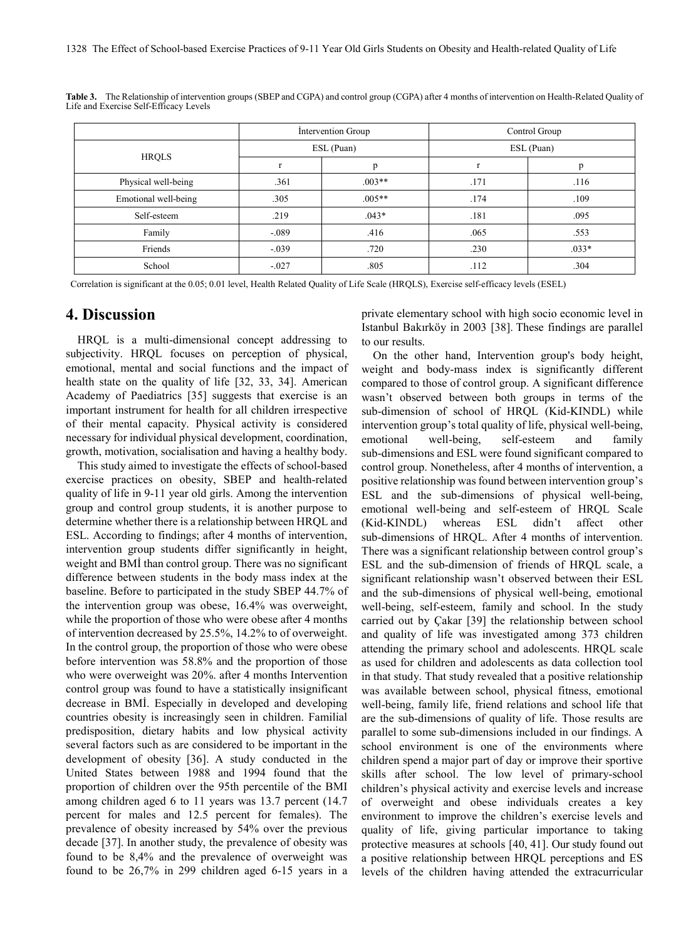|                      |         | Intervention Group | Control Group |         |  |
|----------------------|---------|--------------------|---------------|---------|--|
|                      |         | ESL (Puan)         | ESL (Puan)    |         |  |
| <b>HRQLS</b>         |         | p                  |               | p       |  |
| Physical well-being  | .361    | $.003**$           | .171          | .116    |  |
| Emotional well-being | .305    | $.005**$           | .174          | .109    |  |
| Self-esteem          | .219    | $.043*$            | .181          | .095    |  |
| Family               | $-.089$ | .416               | .065          | .553    |  |
| Friends              | $-.039$ | .720               | .230          | $.033*$ |  |
| School               | $-.027$ | .805               | .112          | .304    |  |

**Table 3.** The Relationship of intervention groups (SBEP and CGPA) and control group (CGPA) after 4 months of intervention on Health-Related Quality of Life and Exercise Self-Efficacy Levels

Correlation is significant at the 0.05; 0.01 level, Health Related Quality of Life Scale (HRQLS), Exercise self-efficacy levels (ESEL)

## **4. Discussion**

HRQL is a multi-dimensional concept addressing to subjectivity. HRQL focuses on perception of physical, emotional, mental and social functions and the impact of health state on the quality of life [32, 33, 34]. American Academy of Paediatrics [35] suggests that exercise is an important instrument for health for all children irrespective of their mental capacity. Physical activity is considered necessary for individual physical development, coordination, growth, motivation, socialisation and having a healthy body.

This study aimed to investigate the effects of school-based exercise practices on obesity, SBEP and health-related quality of life in 9-11 year old girls. Among the intervention group and control group students, it is another purpose to determine whether there is a relationship between HRQL and ESL. According to findings; after 4 months of intervention, intervention group students differ significantly in height, weight and BMİ than control group. There was no significant difference between students in the body mass index at the baseline. Before to participated in the study SBEP 44.7% of the intervention group was obese, 16.4% was overweight, while the proportion of those who were obese after 4 months of intervention decreased by 25.5%, 14.2% to of overweight. In the control group, the proportion of those who were obese before intervention was 58.8% and the proportion of those who were overweight was 20%. after 4 months Intervention control group was found to have a statistically insignificant decrease in BMİ. Especially in developed and developing countries obesity is increasingly seen in children. Familial predisposition, dietary habits and low physical activity several factors such as are considered to be important in the development of obesity [36]. A study conducted in the United States between 1988 and 1994 found that the proportion of children over the 95th percentile of the BMI among children aged 6 to 11 years was 13.7 percent (14.7 percent for males and 12.5 percent for females). The prevalence of obesity increased by 54% over the previous decade [37]. In another study, the prevalence of obesity was found to be 8,4% and the prevalence of overweight was found to be 26,7% in 299 children aged 6-15 years in a private elementary school with high socio economic level in Istanbul Bakırköy in 2003 [38]. These findings are parallel to our results.

On the other hand, Intervention group's body height, weight and body-mass index is significantly different compared to those of control group. A significant difference wasn't observed between both groups in terms of the sub-dimension of school of HRQL (Kid-KINDL) while intervention group's total quality of life, physical well-being, emotional well-being, self-esteem and family sub-dimensions and ESL were found significant compared to control group. Nonetheless, after 4 months of intervention, a positive relationship was found between intervention group's ESL and the sub-dimensions of physical well-being, emotional well-being and self-esteem of HRQL Scale (Kid-KINDL) whereas ESL didn't affect other sub-dimensions of HRQL. After 4 months of intervention. There was a significant relationship between control group's ESL and the sub-dimension of friends of HRQL scale, a significant relationship wasn't observed between their ESL and the sub-dimensions of physical well-being, emotional well-being, self-esteem, family and school. In the study carried out by Çakar [39] the relationship between school and quality of life was investigated among 373 children attending the primary school and adolescents. HRQL scale as used for children and adolescents as data collection tool in that study. That study revealed that a positive relationship was available between school, physical fitness, emotional well-being, family life, friend relations and school life that are the sub-dimensions of quality of life. Those results are parallel to some sub-dimensions included in our findings. A school environment is one of the environments where children spend a major part of day or improve their sportive skills after school. The low level of primary-school children's physical activity and exercise levels and increase of overweight and obese individuals creates a key environment to improve the children's exercise levels and quality of life, giving particular importance to taking protective measures at schools [40, 41]. Our study found out a positive relationship between HRQL perceptions and ES levels of the children having attended the extracurricular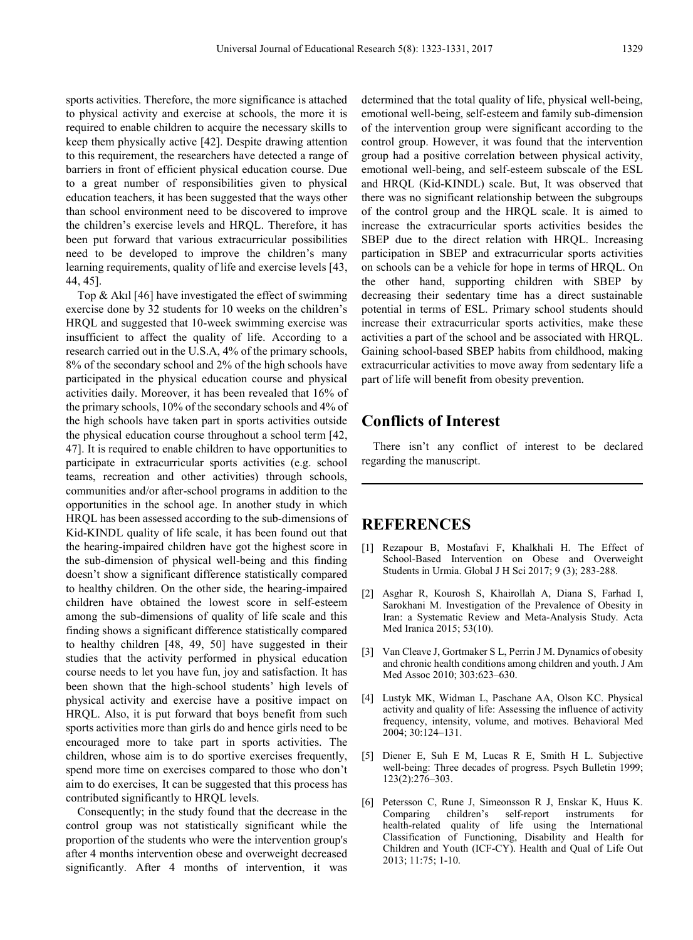sports activities. Therefore, the more significance is attached to physical activity and exercise at schools, the more it is required to enable children to acquire the necessary skills to keep them physically active [42]. Despite drawing attention to this requirement, the researchers have detected a range of barriers in front of efficient physical education course. Due to a great number of responsibilities given to physical education teachers, it has been suggested that the ways other than school environment need to be discovered to improve the children's exercise levels and HRQL. Therefore, it has been put forward that various extracurricular possibilities need to be developed to improve the children's many learning requirements, quality of life and exercise levels [43, 44, 45].

Top & Akıl [46] have investigated the effect of swimming exercise done by 32 students for 10 weeks on the children's HRQL and suggested that 10-week swimming exercise was insufficient to affect the quality of life. According to a research carried out in the U.S.A, 4% of the primary schools, 8% of the secondary school and 2% of the high schools have participated in the physical education course and physical activities daily. Moreover, it has been revealed that 16% of the primary schools, 10% of the secondary schools and 4% of the high schools have taken part in sports activities outside the physical education course throughout a school term [42, 47]. It is required to enable children to have opportunities to participate in extracurricular sports activities (e.g. school teams, recreation and other activities) through schools, communities and/or after-school programs in addition to the opportunities in the school age. In another study in which HRQL has been assessed according to the sub-dimensions of Kid-KINDL quality of life scale, it has been found out that the hearing-impaired children have got the highest score in the sub-dimension of physical well-being and this finding doesn't show a significant difference statistically compared to healthy children. On the other side, the hearing-impaired children have obtained the lowest score in self-esteem among the sub-dimensions of quality of life scale and this finding shows a significant difference statistically compared to healthy children [48, 49, 50] have suggested in their studies that the activity performed in physical education course needs to let you have fun, joy and satisfaction. It has been shown that the high-school students' high levels of physical activity and exercise have a positive impact on HRQL. Also, it is put forward that boys benefit from such sports activities more than girls do and hence girls need to be encouraged more to take part in sports activities. The children, whose aim is to do sportive exercises frequently, spend more time on exercises compared to those who don't aim to do exercises, It can be suggested that this process has contributed significantly to HRQL levels.

Consequently; in the study found that the decrease in the control group was not statistically significant while the proportion of the students who were the intervention group's after 4 months intervention obese and overweight decreased significantly. After 4 months of intervention, it was

determined that the total quality of life, physical well-being, emotional well-being, self-esteem and family sub-dimension of the intervention group were significant according to the control group. However, it was found that the intervention group had a positive correlation between physical activity, emotional well-being, and self-esteem subscale of the ESL and HRQL (Kid-KINDL) scale. But, It was observed that there was no significant relationship between the subgroups of the control group and the HRQL scale. It is aimed to increase the extracurricular sports activities besides the SBEP due to the direct relation with HRQL. Increasing participation in SBEP and extracurricular sports activities on schools can be a vehicle for hope in terms of HRQL. On the other hand, supporting children with SBEP by decreasing their sedentary time has a direct sustainable potential in terms of ESL. Primary school students should increase their extracurricular sports activities, make these activities a part of the school and be associated with HRQL. Gaining school-based SBEP habits from childhood, making extracurricular activities to move away from sedentary life a part of life will benefit from obesity prevention.

## **Conflicts of Interest**

There isn't any conflict of interest to be declared regarding the manuscript.

## **REFERENCES**

- [1] Rezapour B, Mostafavi F, Khalkhali H. The Effect of School-Based Intervention on Obese and Overweight Students in Urmia. Global J H Sci 2017; 9 (3); 283-288.
- [2] Asghar R, Kourosh S, Khairollah A, Diana S, Farhad I, Sarokhani M. Investigation of the Prevalence of Obesity in Iran: a Systematic Review and Meta-Analysis Study. Acta Med Iranica 2015; 53(10).
- [3] Van Cleave J, Gortmaker S L, Perrin J M. Dynamics of obesity and chronic health conditions among children and youth. J Am Med Assoc 2010; 303:623–630.
- [4] Lustyk MK, Widman L, Paschane AA, Olson KC. Physical activity and quality of life: Assessing the influence of activity frequency, intensity, volume, and motives. Behavioral Med 2004; 30:124–131.
- [5] Diener E, Suh E M, Lucas R E, Smith H L. Subjective well-being: Three decades of progress. Psych Bulletin 1999; 123(2):276–303.
- [6] Petersson C, Rune J, Simeonsson R J, Enskar K, Huus K. Comparing children's self-report instruments for health-related quality of life using the International Classification of Functioning, Disability and Health for Children and Youth (ICF-CY). Health and Qual of Life Out 2013; 11:75; 1-10.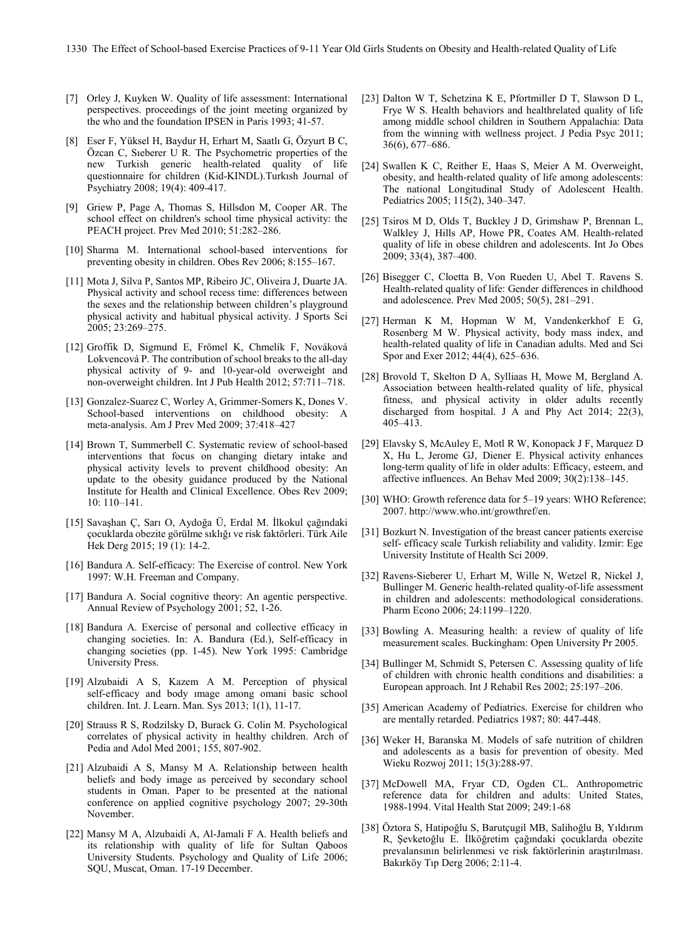- [7] Orley J, Kuyken W. Quality of life assessment: International perspectives. proceedings of the joint meeting organized by the who and the foundation IPSEN in Paris 1993; 41-57.
- [8] Eser F, Yüksel H, Baydur H, Erhart M, Saatlı G, Özyurt B C, Özcan C, Sıeberer U R. The Psychometric properties of the new Turkish generic health-related quality of life questionnaire for children (Kid-KINDL).Turkısh Journal of Psychiatry 2008; 19(4): 409-417.
- [9] Griew P, Page A, Thomas S, Hillsdon M, Cooper AR. The school effect on children's school time physical activity: the PEACH project. Prev Med 2010; 51:282–286.
- [10] Sharma M. International school-based interventions for preventing obesity in children. Obes Rev 2006; 8:155–167.
- [11] Mota J, Silva P, Santos MP, Ribeiro JC, Oliveira J, Duarte JA. Physical activity and school recess time: differences between the sexes and the relationship between children's playground physical activity and habitual physical activity. J Sports Sci 2005; 23:269–275.
- [12] Groffik D, Sigmund E, Frömel K, Chmelík F, Nováková Lokvencová P. The contribution of school breaks to the all-day physical activity of 9- and 10-year-old overweight and non-overweight children. Int J Pub Health 2012; 57:711–718.
- [13] Gonzalez-Suarez C, Worley A, Grimmer-Somers K, Dones V. School-based interventions on childhood obesity: A meta-analysis. Am J Prev Med 2009; 37:418–427
- [14] Brown T, Summerbell C. Systematic review of school-based interventions that focus on changing dietary intake and physical activity levels to prevent childhood obesity: An update to the obesity guidance produced by the National Institute for Health and Clinical Excellence. Obes Rev 2009; 10: 110–141.
- [15] Savaşhan Ç, Sarı O, Aydoğa Ü, Erdal M. İlkokul çağındaki çocuklarda obezite görülme sıklığı ve risk faktörleri. Türk Aile Hek Derg 2015; 19 (1): 14-2.
- [16] Bandura A. Self-efficacy: The Exercise of control. New York 1997: W.H. Freeman and Company.
- [17] Bandura A. Social cognitive theory: An agentic perspective. Annual Review of Psychology 2001; 52, 1-26.
- [18] Bandura A. Exercise of personal and collective efficacy in changing societies. In: A. Bandura (Ed.), Self-efficacy in changing societies (pp. 1-45). New York 1995: Cambridge University Press.
- [19] Alzubaidi A S, Kazem A M. Perception of physical self-efficacy and body ımage among omani basic school children. Int. J. Learn. Man. Sys 2013; 1(1), 11-17.
- [20] Strauss R S, Rodzilsky D, Burack G. Colin M. Psychological correlates of physical activity in healthy children. Arch of Pedia and Adol Med 2001; 155, 807-902.
- [21] Alzubaidi A S, Mansy M A. Relationship between health beliefs and body image as perceived by secondary school students in Oman. Paper to be presented at the national conference on applied cognitive psychology 2007; 29-30th November.
- [22] Mansy M A, Alzubaidi A, Al-Jamali F A. Health beliefs and its relationship with quality of life for Sultan Qaboos University Students. Psychology and Quality of Life 2006; SQU, Muscat, Oman. 17-19 December.
- [23] Dalton W T, Schetzina K E, Pfortmiller D T, Slawson D L, Frye W S. Health behaviors and healthrelated quality of life among middle school children in Southern Appalachia: Data from the winning with wellness project. J Pedia Psyc 2011; 36(6), 677–686.
- [24] Swallen K C, Reither E, Haas S, Meier A M. Overweight, obesity, and health-related quality of life among adolescents: The national Longitudinal Study of Adolescent Health. Pediatrics 2005; 115(2), 340–347.
- [25] Tsiros M D, Olds T, Buckley J D, Grimshaw P, Brennan L, Walkley J, Hills AP, Howe PR, Coates AM. Health-related quality of life in obese children and adolescents. Int Jo Obes 2009; 33(4), 387–400.
- [26] Bisegger C, Cloetta B, Von Rueden U, Abel T. Ravens S. Health-related quality of life: Gender differences in childhood and adolescence. Prev Med 2005; 50(5), 281–291.
- [27] Herman K M, Hopman W M, Vandenkerkhof E G, Rosenberg M W. Physical activity, body mass index, and health-related quality of life in Canadian adults. Med and Sci Spor and Exer 2012; 44(4), 625–636.
- [28] Brovold T, Skelton D A, Sylliaas H, Mowe M, Bergland A. Association between health-related quality of life, physical fitness, and physical activity in older adults recently discharged from hospital. J A and Phy Act 2014; 22(3), 405–413.
- [29] Elavsky S, McAuley E, Motl R W, Konopack J F, Marquez D X, Hu L, Jerome GJ, Diener E. Physical activity enhances long-term quality of life in older adults: Efficacy, esteem, and affective influences. An Behav Med 2009; 30(2):138–145.
- [30] WHO: Growth reference data for 5-19 years: WHO Reference; 2007. http://www.who.int/growthref/en.
- [31] Bozkurt N. Investigation of the breast cancer patients exercise self- efficacy scale Turkish reliability and validity. Izmir: Ege University Institute of Health Sci 2009.
- [32] Ravens-Sieberer U, Erhart M, Wille N, Wetzel R, Nickel J, Bullinger M. Generic health-related quality-of-life assessment in children and adolescents: methodological considerations. Pharm Econo 2006; 24:1199–1220.
- [33] Bowling A. Measuring health: a review of quality of life measurement scales. Buckingham: Open University Pr 2005.
- [34] Bullinger M, Schmidt S, Petersen C. Assessing quality of life of children with chronic health conditions and disabilities: a European approach. Int J Rehabil Res 2002; 25:197–206.
- [35] American Academy of Pediatrics. Exercise for children who are mentally retarded. Pediatrics 1987; 80: 447-448.
- [36] Weker H, Baranska M. Models of safe nutrition of children and adolescents as a basis for prevention of obesity. Med Wieku Rozwoj 2011; 15(3):288-97.
- [37] McDowell MA, Fryar CD, Ogden CL. Anthropometric reference data for children and adults: United States, 1988-1994. Vital Health Stat 2009; 249:1-68
- [38] Öztora S, Hatipoğlu S, Barutçugil MB, Salihoğlu B, Yıldırım R, Şevketoğlu E. İlköğretim çağındaki çocuklarda obezite prevalansının belirlenmesi ve risk faktörlerinin araştırılması. Bakırköy Tıp Derg 2006; 2:11-4.